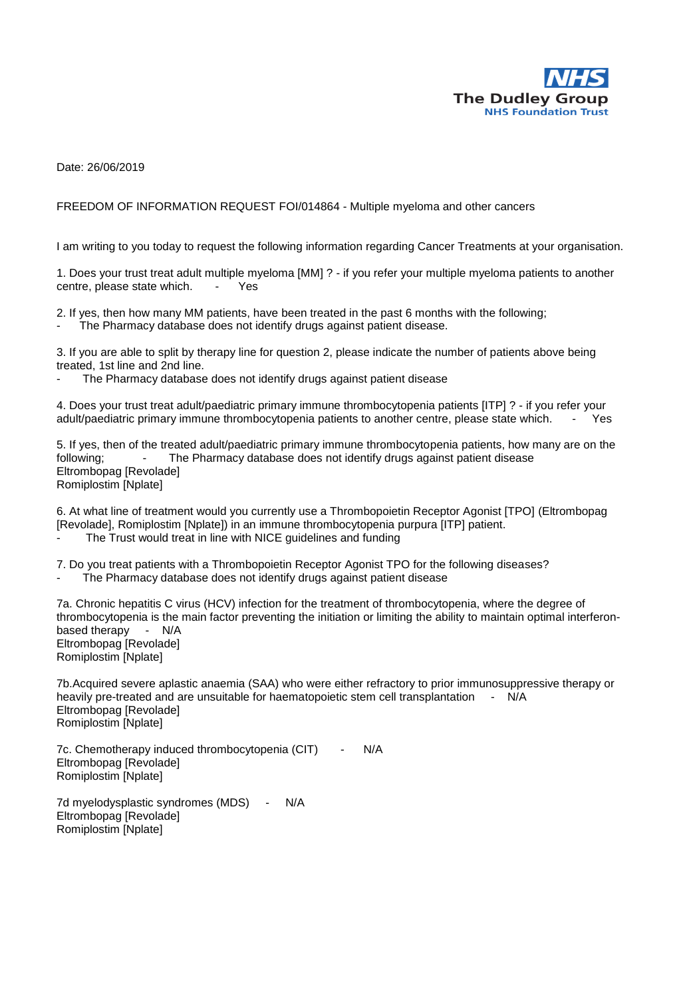

Date: 26/06/2019

## FREEDOM OF INFORMATION REQUEST FOI/014864 - Multiple myeloma and other cancers

I am writing to you today to request the following information regarding Cancer Treatments at your organisation.

1. Does your trust treat adult multiple myeloma [MM] ? - if you refer your multiple myeloma patients to another centre, please state which. - Yes

2. If yes, then how many MM patients, have been treated in the past 6 months with the following;

The Pharmacy database does not identify drugs against patient disease.

3. If you are able to split by therapy line for question 2, please indicate the number of patients above being treated, 1st line and 2nd line.

The Pharmacy database does not identify drugs against patient disease

4. Does your trust treat adult/paediatric primary immune thrombocytopenia patients [ITP] ? - if you refer your adult/paediatric primary immune thrombocytopenia patients to another centre, please state which. - Yes

5. If yes, then of the treated adult/paediatric primary immune thrombocytopenia patients, how many are on the following; - The Pharmacy database does not identify drugs against patient disease Eltrombopag [Revolade] Romiplostim [Nplate]

6. At what line of treatment would you currently use a Thrombopoietin Receptor Agonist [TPO] (Eltrombopag [Revolade], Romiplostim [Nplate]) in an immune thrombocytopenia purpura [ITP] patient. The Trust would treat in line with NICE guidelines and funding

7. Do you treat patients with a Thrombopoietin Receptor Agonist TPO for the following diseases? The Pharmacy database does not identify drugs against patient disease

7a. Chronic hepatitis C virus (HCV) infection for the treatment of thrombocytopenia, where the degree of thrombocytopenia is the main factor preventing the initiation or limiting the ability to maintain optimal interferonbased therapy - N/A Eltrombopag [Revolade] Romiplostim [Nplate]

7b.Acquired severe aplastic anaemia (SAA) who were either refractory to prior immunosuppressive therapy or heavily pre-treated and are unsuitable for haematopoietic stem cell transplantation - N/A Eltrombopag [Revolade] Romiplostim [Nplate]

7c. Chemotherapy induced thrombocytopenia (CIT) - N/A Eltrombopag [Revolade] Romiplostim [Nplate]

7d myelodysplastic syndromes (MDS) - N/A Eltrombopag [Revolade] Romiplostim [Nplate]